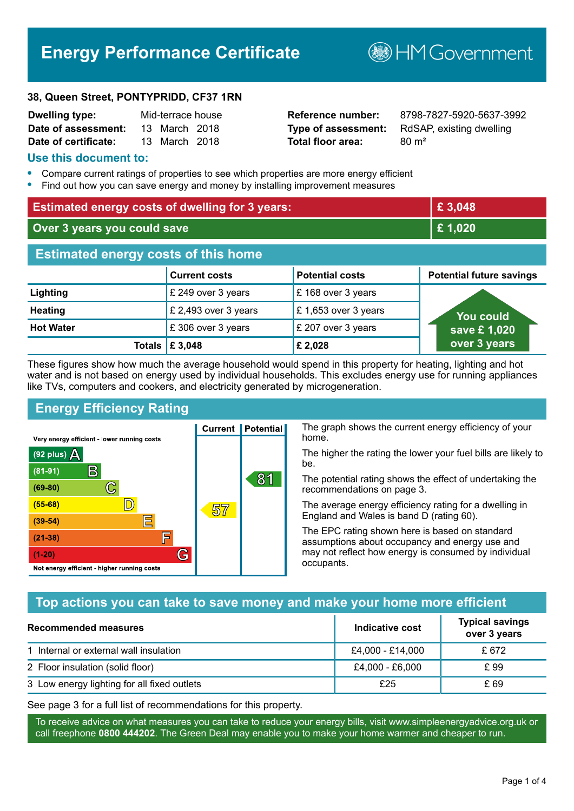# **Energy Performance Certificate**

#### **38, Queen Street, PONTYPRIDD, CF37 1RN**

| <b>Dwelling type:</b> | Mid-terrace house |               |  |
|-----------------------|-------------------|---------------|--|
| Date of assessment:   |                   | 13 March 2018 |  |
| Date of certificate:  |                   | 13 March 2018 |  |

# **Total floor area:** 80 m<sup>2</sup>

**Dwelling type:** Mid-terrace house **Reference number:** 8798-7827-5920-5637-3992 **Type of assessment:** RdSAP, existing dwelling

**B**HM Government

#### **Use this document to:**

- **•** Compare current ratings of properties to see which properties are more energy efficient
- **•** Find out how you can save energy and money by installing improvement measures

| <b>Estimated energy costs of dwelling for 3 years:</b> |                      |                        | £3,048                          |
|--------------------------------------------------------|----------------------|------------------------|---------------------------------|
| Over 3 years you could save                            |                      | £1,020                 |                                 |
| <b>Estimated energy costs of this home</b>             |                      |                        |                                 |
|                                                        | <b>Current costs</b> | <b>Potential costs</b> | <b>Potential future savings</b> |
| Lighting                                               | £ 249 over 3 years   | £168 over 3 years      |                                 |
| <b>Heating</b>                                         | £ 2,493 over 3 years | £1,653 over 3 years    | You could                       |
| <b>Hot Water</b>                                       | £306 over 3 years    | £ 207 over 3 years     | save £1,020                     |
| Totals                                                 | £ 3,048              | £2,028                 | over 3 years                    |

These figures show how much the average household would spend in this property for heating, lighting and hot water and is not based on energy used by individual households. This excludes energy use for running appliances like TVs, computers and cookers, and electricity generated by microgeneration.

**Current | Potential** 

57

# **Energy Efficiency Rating**

 $\mathbb{C}$ 

D)

E

庐

G

Very energy efficient - lower running costs

 $\mathsf{R}% _{T}$ 

Not energy efficient - higher running costs

 $(92$  plus)

 $(81 - 91)$ 

 $(69 - 80)$ 

 $(55-68)$ 

 $(39 - 54)$ 

 $(21-38)$ 

 $(1-20)$ 

- 70

The graph shows the current energy efficiency of your home.

The higher the rating the lower your fuel bills are likely to be.

The potential rating shows the effect of undertaking the recommendations on page 3.

The average energy efficiency rating for a dwelling in England and Wales is band D (rating 60).

The EPC rating shown here is based on standard assumptions about occupancy and energy use and may not reflect how energy is consumed by individual occupants.

## **Top actions you can take to save money and make your home more efficient**

81

| <b>Recommended measures</b>                 | Indicative cost  | <b>Typical savings</b><br>over 3 years |
|---------------------------------------------|------------------|----------------------------------------|
| 1 Internal or external wall insulation      | £4,000 - £14,000 | £ 672                                  |
| 2 Floor insulation (solid floor)            | £4,000 - £6,000  | £ 99                                   |
| 3 Low energy lighting for all fixed outlets | £25              | £ 69                                   |

See page 3 for a full list of recommendations for this property.

To receive advice on what measures you can take to reduce your energy bills, visit www.simpleenergyadvice.org.uk or call freephone **0800 444202**. The Green Deal may enable you to make your home warmer and cheaper to run.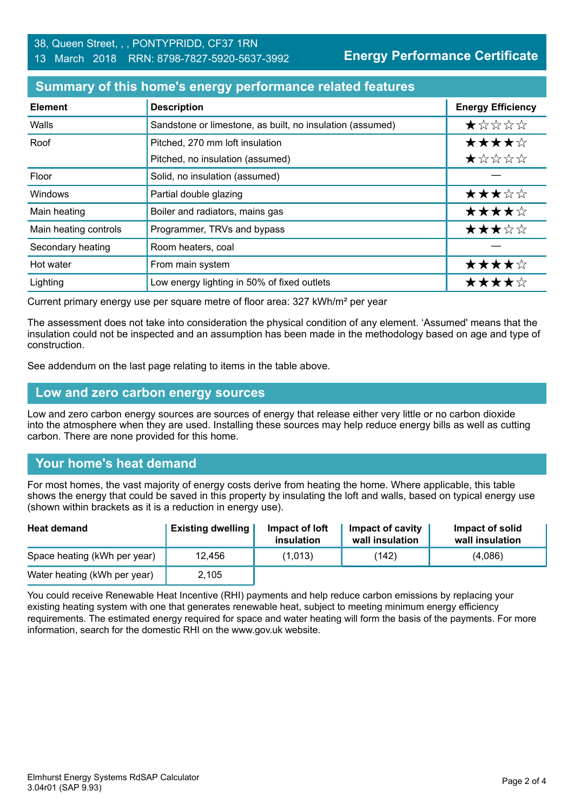**Energy Performance Certificate**

## **Summary of this home's energy performance related features**

| <b>Element</b>        | <b>Description</b>                                        | <b>Energy Efficiency</b> |
|-----------------------|-----------------------------------------------------------|--------------------------|
| Walls                 | Sandstone or limestone, as built, no insulation (assumed) | $\star$ * * * *          |
| Roof                  | Pitched, 270 mm loft insulation                           | ★★★★☆                    |
|                       | Pitched, no insulation (assumed)                          | ★☆☆☆☆                    |
| Floor                 | Solid, no insulation (assumed)                            |                          |
| Windows               | Partial double glazing                                    | ★★★☆☆                    |
| Main heating          | Boiler and radiators, mains gas                           | ★★★★☆                    |
| Main heating controls | Programmer, TRVs and bypass                               | ★★★☆☆                    |
| Secondary heating     | Room heaters, coal                                        |                          |
| Hot water             | From main system                                          | ★★★★☆                    |
| Lighting              | Low energy lighting in 50% of fixed outlets               | ★★★★☆                    |

Current primary energy use per square metre of floor area: 327 kWh/m² per year

The assessment does not take into consideration the physical condition of any element. 'Assumed' means that the insulation could not be inspected and an assumption has been made in the methodology based on age and type of construction.

See addendum on the last page relating to items in the table above.

#### **Low and zero carbon energy sources**

Low and zero carbon energy sources are sources of energy that release either very little or no carbon dioxide into the atmosphere when they are used. Installing these sources may help reduce energy bills as well as cutting carbon. There are none provided for this home.

## **Your home's heat demand**

For most homes, the vast majority of energy costs derive from heating the home. Where applicable, this table shows the energy that could be saved in this property by insulating the loft and walls, based on typical energy use (shown within brackets as it is a reduction in energy use).

| <b>Heat demand</b>           | <b>Existing dwelling</b> | Impact of loft<br>insulation | Impact of cavity<br>wall insulation | Impact of solid<br>wall insulation |
|------------------------------|--------------------------|------------------------------|-------------------------------------|------------------------------------|
| Space heating (kWh per year) | 12.456                   | (1,013)                      | (142)                               | (4,086)                            |
| Water heating (kWh per year) | 2,105                    |                              |                                     |                                    |

You could receive Renewable Heat Incentive (RHI) payments and help reduce carbon emissions by replacing your existing heating system with one that generates renewable heat, subject to meeting minimum energy efficiency requirements. The estimated energy required for space and water heating will form the basis of the payments. For more information, search for the domestic RHI on the www.gov.uk website.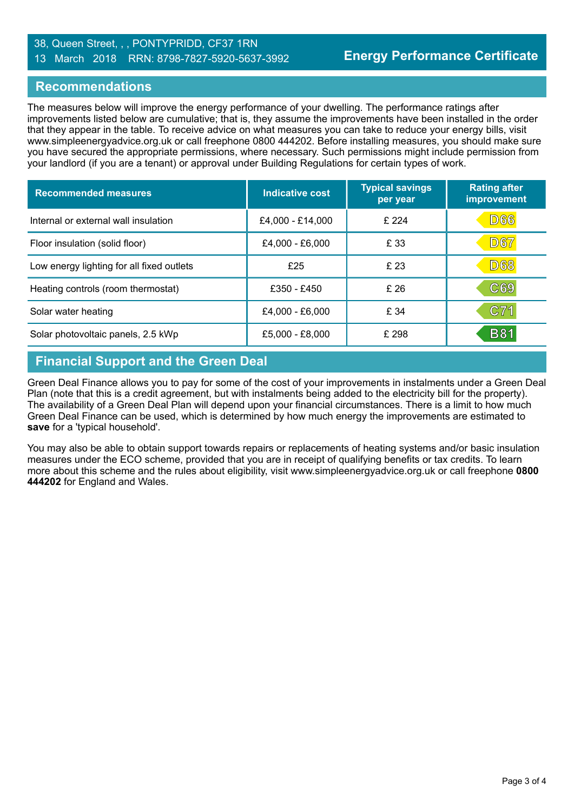#### 38, Queen Street, , , PONTYPRIDD, CF37 1RN 13 March 2018 RRN: 8798-7827-5920-5637-3992

#### **Recommendations**

The measures below will improve the energy performance of your dwelling. The performance ratings after improvements listed below are cumulative; that is, they assume the improvements have been installed in the order that they appear in the table. To receive advice on what measures you can take to reduce your energy bills, visit www.simpleenergyadvice.org.uk or call freephone 0800 444202. Before installing measures, you should make sure you have secured the appropriate permissions, where necessary. Such permissions might include permission from your landlord (if you are a tenant) or approval under Building Regulations for certain types of work.

| <b>Recommended measures</b>               | Indicative cost  | <b>Typical savings</b><br>per year | <b>Rating after</b><br>improvement |
|-------------------------------------------|------------------|------------------------------------|------------------------------------|
| Internal or external wall insulation      | £4,000 - £14,000 | £ 224                              | <b>D66</b>                         |
| Floor insulation (solid floor)            | £4,000 - £6,000  | £ 33                               | <b>D67</b>                         |
| Low energy lighting for all fixed outlets | £25              | £ 23                               | <b>D68</b>                         |
| Heating controls (room thermostat)        | £350 - £450      | £ 26                               | C69                                |
| Solar water heating                       | £4,000 - £6,000  | £ 34                               | C71                                |
| Solar photovoltaic panels, 2.5 kWp        | £5,000 - £8,000  | £ 298                              | <b>B81</b>                         |

## **Financial Support and the Green Deal**

Green Deal Finance allows you to pay for some of the cost of your improvements in instalments under a Green Deal Plan (note that this is a credit agreement, but with instalments being added to the electricity bill for the property). The availability of a Green Deal Plan will depend upon your financial circumstances. There is a limit to how much Green Deal Finance can be used, which is determined by how much energy the improvements are estimated to **save** for a 'typical household'.

You may also be able to obtain support towards repairs or replacements of heating systems and/or basic insulation measures under the ECO scheme, provided that you are in receipt of qualifying benefits or tax credits. To learn more about this scheme and the rules about eligibility, visit www.simpleenergyadvice.org.uk or call freephone **0800 444202** for England and Wales.